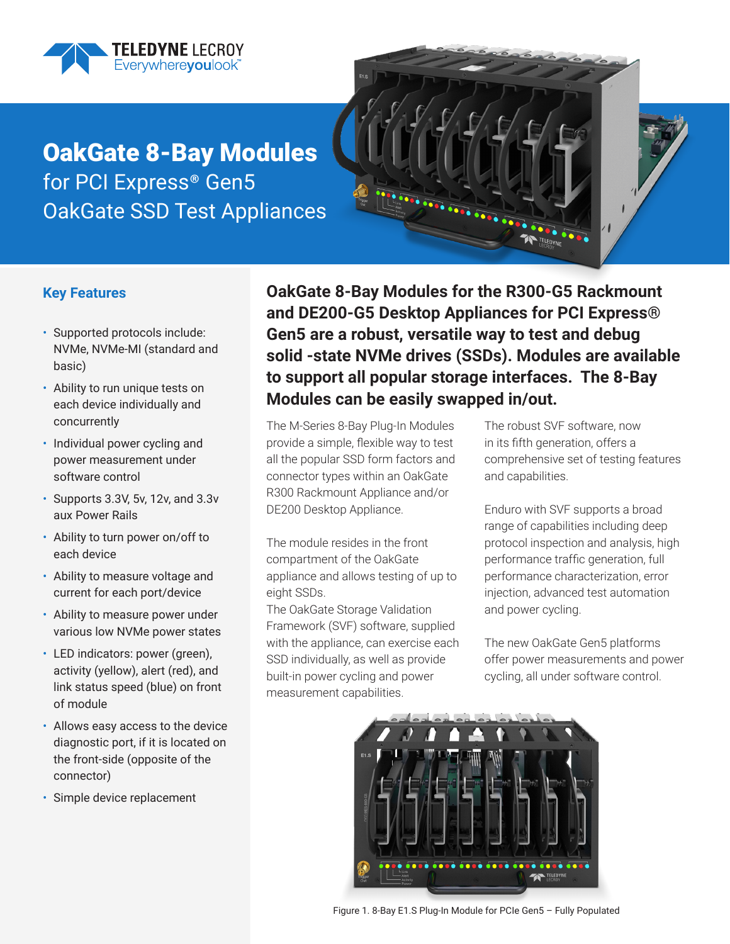

OakGate 8-Bay Modules for PCI Express<sup>®</sup> Gen5 OakGate SSD Test Appliances



## **Key Features**

- Supported protocols include: NVMe, NVMe-MI (standard and basic)
- Ability to run unique tests on each device individually and concurrently
- Individual power cycling and power measurement under software control
- Supports 3.3V, 5v, 12v, and 3.3v aux Power Rails
- Ability to turn power on/off to each device
- Ability to measure voltage and current for each port/device
- Ability to measure power under various low NVMe power states
- LED indicators: power (green), activity (yellow), alert (red), and link status speed (blue) on front of module
- Allows easy access to the device diagnostic port, if it is located on the front-side (opposite of the connector)
- Simple device replacement

**OakGate 8-Bay Modules for the R300-G5 Rackmount and DE200-G5 Desktop Appliances for PCI Express® Gen5 are a robust, versatile way to test and debug solid -state NVMe drives (SSDs). Modules are available to support all popular storage interfaces. The 8-Bay Modules can be easily swapped in/out.**

The M-Series 8-Bay Plug-In Modules provide a simple, flexible way to test all the popular SSD form factors and connector types within an OakGate R300 Rackmount Appliance and/or DE200 Desktop Appliance.

The module resides in the front compartment of the OakGate appliance and allows testing of up to eight SSDs.

The OakGate Storage Validation Framework (SVF) software, supplied with the appliance, can exercise each SSD individually, as well as provide built-in power cycling and power measurement capabilities.

The robust SVF software, now in its fifth generation, offers a comprehensive set of testing features and capabilities.

Enduro with SVF supports a broad range of capabilities including deep protocol inspection and analysis, high performance traffic generation, full performance characterization, error injection, advanced test automation and power cycling.

The new OakGate Gen5 platforms offer power measurements and power cycling, all under software control.



Figure 1. 8-Bay E1.S Plug-In Module for PCIe Gen5 – Fully Populated